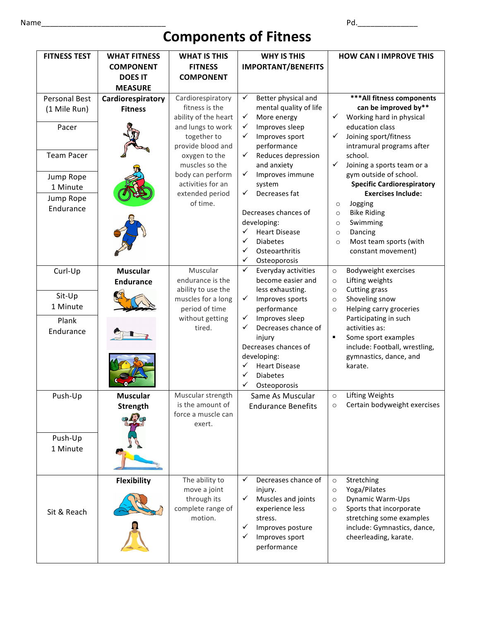## **Components of Fitness**

| <b>FITNESS TEST</b>                                                           | <b>WHAT FITNESS</b>                 | <b>WHAT IS THIS</b>                                                                                                                                                                      | <b>WHY IS THIS</b>                                                                                                                                                                                                                                                 | <b>HOW CAN I IMPROVE THIS</b>                                                                                                                                                                                                                                                                                                       |
|-------------------------------------------------------------------------------|-------------------------------------|------------------------------------------------------------------------------------------------------------------------------------------------------------------------------------------|--------------------------------------------------------------------------------------------------------------------------------------------------------------------------------------------------------------------------------------------------------------------|-------------------------------------------------------------------------------------------------------------------------------------------------------------------------------------------------------------------------------------------------------------------------------------------------------------------------------------|
|                                                                               | <b>COMPONENT</b>                    | <b>FITNESS</b>                                                                                                                                                                           | <b>IMPORTANT/BENEFITS</b>                                                                                                                                                                                                                                          |                                                                                                                                                                                                                                                                                                                                     |
|                                                                               | <b>DOES IT</b>                      | <b>COMPONENT</b>                                                                                                                                                                         |                                                                                                                                                                                                                                                                    |                                                                                                                                                                                                                                                                                                                                     |
|                                                                               | <b>MEASURE</b>                      |                                                                                                                                                                                          |                                                                                                                                                                                                                                                                    |                                                                                                                                                                                                                                                                                                                                     |
| <b>Personal Best</b><br>(1 Mile Run)                                          | Cardiorespiratory<br><b>Fitness</b> | Cardiorespiratory<br>fitness is the                                                                                                                                                      | $\checkmark$<br>Better physical and<br>mental quality of life                                                                                                                                                                                                      | *** All fitness components<br>can be improved by**                                                                                                                                                                                                                                                                                  |
| Pacer<br><b>Team Pacer</b><br>Jump Rope<br>1 Minute<br>Jump Rope<br>Endurance |                                     | ability of the heart<br>and lungs to work<br>together to<br>provide blood and<br>oxygen to the<br>muscles so the<br>body can perform<br>activities for an<br>extended period<br>of time. | $\checkmark$<br>More energy<br>$\checkmark$<br>Improves sleep<br>✓<br>Improves sport<br>performance<br>Reduces depression<br>$\checkmark$<br>and anxiety<br>Improves immune<br>$\checkmark$<br>system<br>Decreases fat<br>✓<br>Decreases chances of<br>developing: | ✓<br>Working hard in physical<br>education class<br>✓<br>Joining sport/fitness<br>intramural programs after<br>school.<br>$\checkmark$<br>Joining a sports team or a<br>gym outside of school.<br><b>Specific Cardiorespiratory</b><br><b>Exercises Include:</b><br>Jogging<br>$\circ$<br><b>Bike Riding</b><br>$\circ$<br>Swimming |
|                                                                               |                                     |                                                                                                                                                                                          | <b>Heart Disease</b><br><b>Diabetes</b><br>✓<br>Osteoarthritis<br>✓<br>Osteoporosis                                                                                                                                                                                | $\circ$<br>Dancing<br>$\circ$<br>Most team sports (with<br>$\circ$<br>constant movement)                                                                                                                                                                                                                                            |
| Curl-Up                                                                       | <b>Muscular</b><br><b>Endurance</b> | Muscular<br>endurance is the                                                                                                                                                             | $\checkmark$<br>Everyday activities<br>become easier and                                                                                                                                                                                                           | Bodyweight exercises<br>$\circ$<br>Lifting weights<br>$\circ$                                                                                                                                                                                                                                                                       |
| Sit-Up<br>1 Minute                                                            |                                     | ability to use the<br>muscles for a long<br>period of time                                                                                                                               | less exhausting.<br>Improves sports<br>$\checkmark$<br>performance                                                                                                                                                                                                 | Cutting grass<br>$\circ$<br>Shoveling snow<br>$\circ$<br>Helping carry groceries<br>$\circ$                                                                                                                                                                                                                                         |
| Plank<br>Endurance                                                            |                                     | without getting<br>tired.                                                                                                                                                                | Improves sleep<br>$\checkmark$<br>✓<br>Decreases chance of<br>injury<br>Decreases chances of<br>developing:<br>✓<br><b>Heart Disease</b><br>✓<br><b>Diabetes</b><br>$\checkmark$<br>Osteoporosis                                                                   | Participating in such<br>activities as:<br>$\blacksquare$<br>Some sport examples<br>include: Football, wrestling,<br>gymnastics, dance, and<br>karate.                                                                                                                                                                              |
| Push-Up                                                                       | <b>Muscular</b><br>Strength         | Muscular strength<br>is the amount of<br>force a muscle can<br>exert.                                                                                                                    | Same As Muscular<br><b>Endurance Benefits</b>                                                                                                                                                                                                                      | Lifting Weights<br>$\circ$<br>Certain bodyweight exercises<br>$\circ$                                                                                                                                                                                                                                                               |
| Push-Up<br>1 Minute                                                           |                                     |                                                                                                                                                                                          |                                                                                                                                                                                                                                                                    |                                                                                                                                                                                                                                                                                                                                     |
| Sit & Reach                                                                   | <b>Flexibility</b>                  | The ability to<br>move a joint<br>through its<br>complete range of<br>motion.                                                                                                            | Decreases chance of<br>✓<br>injury.<br>Muscles and joints<br>✓<br>experience less<br>stress.<br>Improves posture<br>✓<br>Improves sport<br>✓<br>performance                                                                                                        | Stretching<br>$\circ$<br>Yoga/Pilates<br>$\circ$<br>Dynamic Warm-Ups<br>$\circ$<br>Sports that incorporate<br>$\circ$<br>stretching some examples<br>include: Gymnastics, dance,<br>cheerleading, karate.                                                                                                                           |